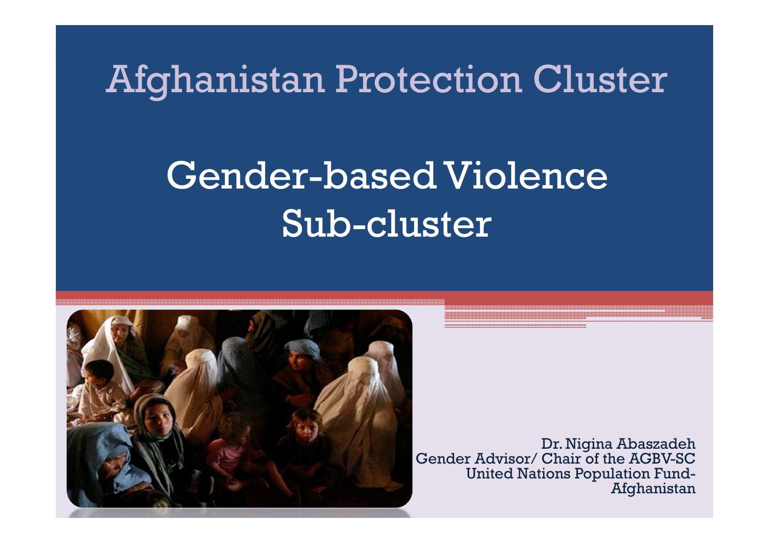### Afghanistan Protection Cluster

## Gender-based Violence Sub-cluster



Dr. Nigina Abaszadeh Gender Advisor/ Chair of the AGBV-SC United Nations Population Fund-Afghanistan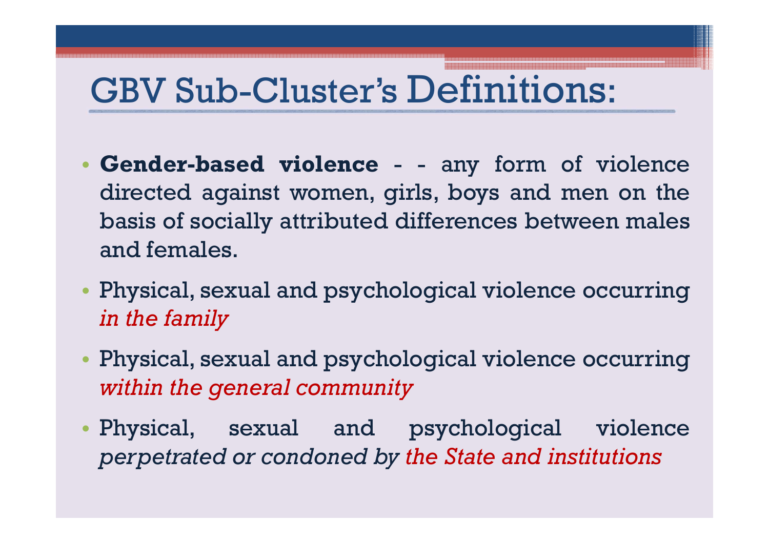## GBV Sub-Cluster's Definitions:

- • Gender-based violence - - any form of violence directed against women, <sup>g</sup>irls, boys and men on the basis of socially attributed differences between males and females.
- • Physical, sexual and psychological violence occurring in the family
- Physical, sexual and psychological violence occurring<br>within the seament loss measurity within the genera<sup>l</sup> community
- • Physical, sexual and psychological violence perpetrated or condoned by the State and institutions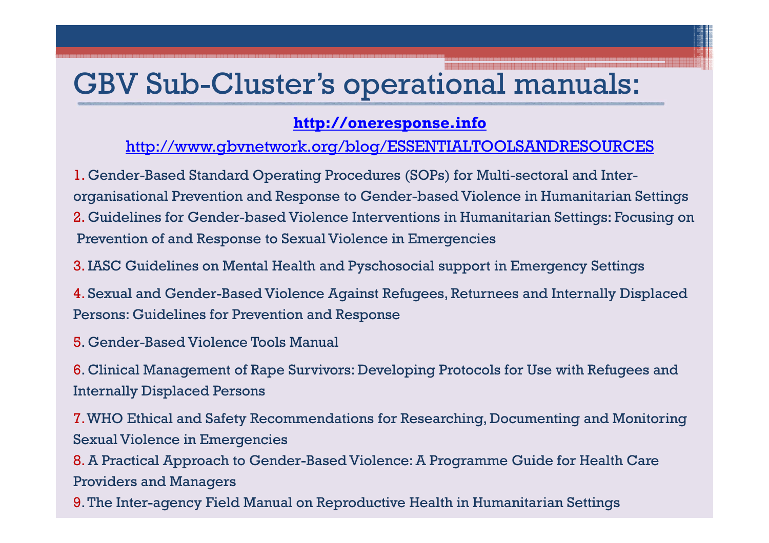#### GBV Sub-Cluster's operational manuals:

#### http://oneresponse.info

#### http://www.gbvnetwork.org/blog/ESSENTIALTOOLSANDRESOURCES

1. Gender-Based Standard Operating Procedures (SOPs) for Multi-sectoral and Interorganisational Prevention and Response to Gender-based Violence in Humanitarian Settings 2. Guidelines for Gender-based Violence Interventions in Humanitarian Settings: Focusing onPrevention of and Response to Sexual Violence in Emergencies

3. IASC Guidelines on Mental Health and Pyschosocial support in Emergency Settings

4. Sexual and Gender-Based Violence Against Refugees, Returnees and Internally DisplacedPersons: Guidelines for Prevention and Response

5. Gender-Based Violence Tools Manual

6. Clinical Management of Rape Survivors: Developing Protocols for Use with Refugees andInternally Displaced Persons

7. WHO Ethical and Safety Recommendations for Researching, Documenting and MonitoringSexual Violence in Emergencies

8. A Practical Approach to Gender-Based Violence: A Programme Guide for Health Care Providers and Managers

9. The Inter-agency Field Manual on Reproductive Health in Humanitarian Settings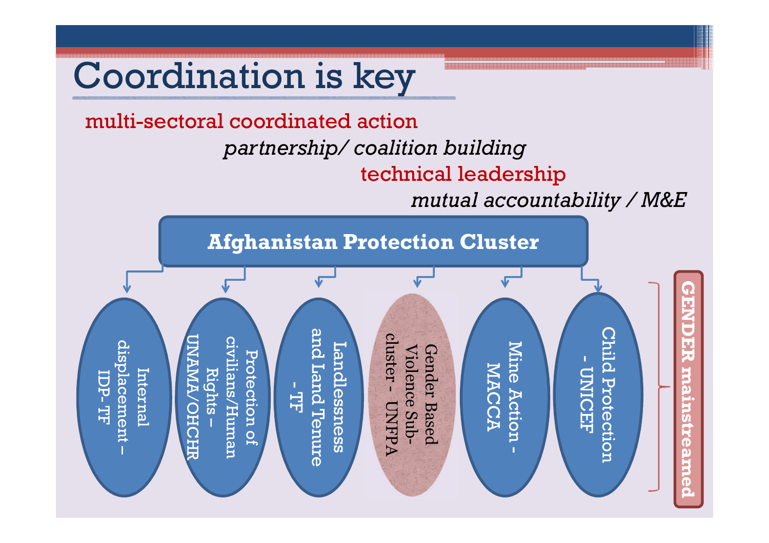### Coordination is key

multi-sectoral coordinated action

partnership/ coalition building

technical leadership

mutual accountability / M&E

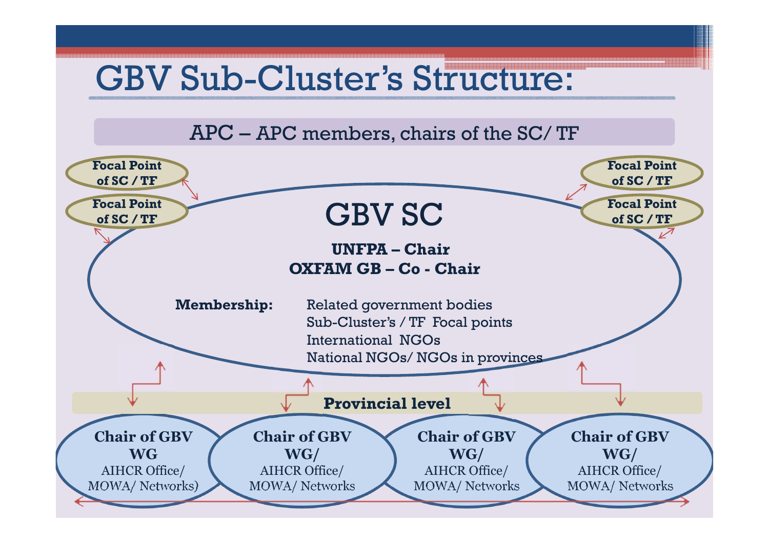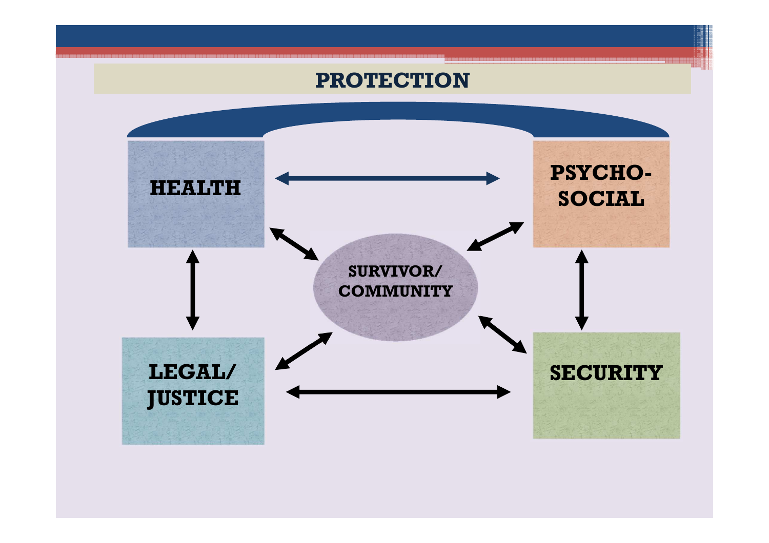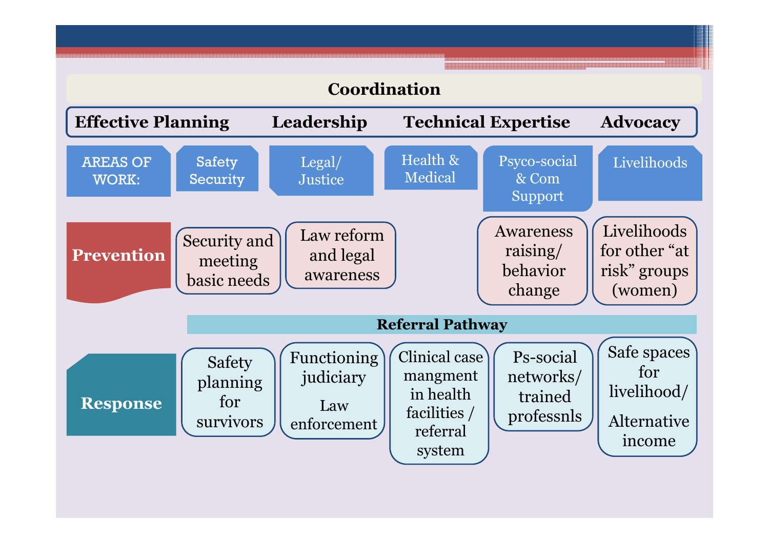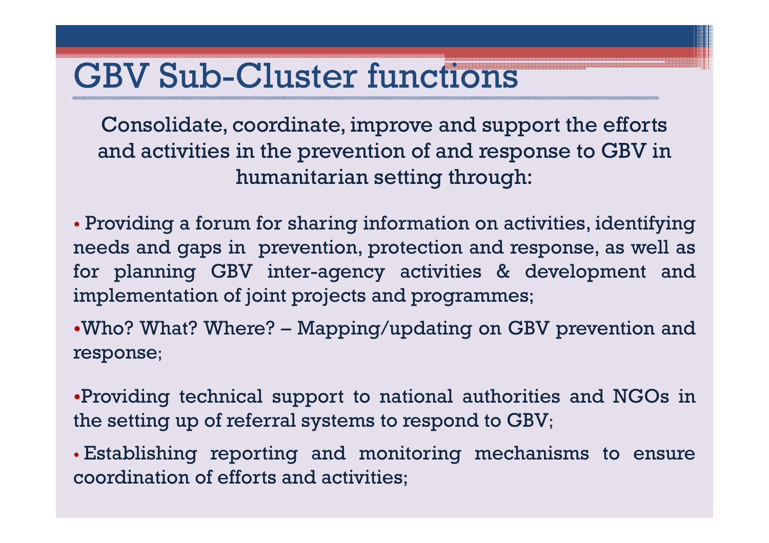#### GBV Sub-Cluster functions

Consolidate, coordinate, improve and support the efforts and activities in the prevention of and response to GBV in humanitarian setting through:

• Providing a forum for sharing information on activities, identifying<br> needs and gaps in prevention, protection and response, as well as for <sup>p</sup>lanning GBV inter-agency activities & development and implementation of joint projects and programmes;

•Who? What? Where? – Mapping/updating on GBV prevention and response;

•Providing technical support to national authorities and NGOs in the setting up of referral systems to respond to GBV;

• Establishing reporting and monitoring mechanisms to ensur ecoordination of efforts and activities;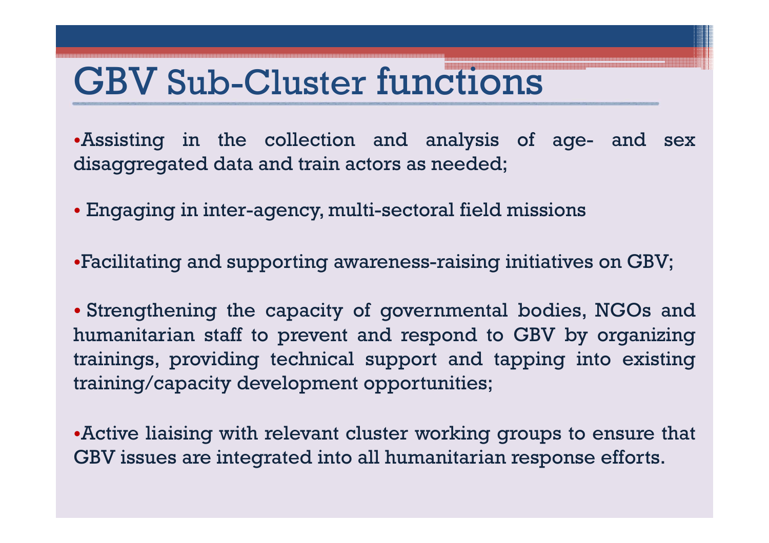# GBV Sub-Cluster functions

•Assisting in the collection and analysis of age- and sex disaggregated data and train actors as needed;

• Engaging in inter-agency, multi-sectoral field missions

•Facilitating and supporting awareness-raising initiatives on GBV;

• Strengthening the capacity of governmental bodies, NGOs and humanitarian staff to prevent and respond to GBV by organizing trainings, providing technical support and tapping into existing training/capacity development opportunities;

•Active liaising with relevant cluster working groups to ensure that GBV issues are integrated into all humanitarian response efforts.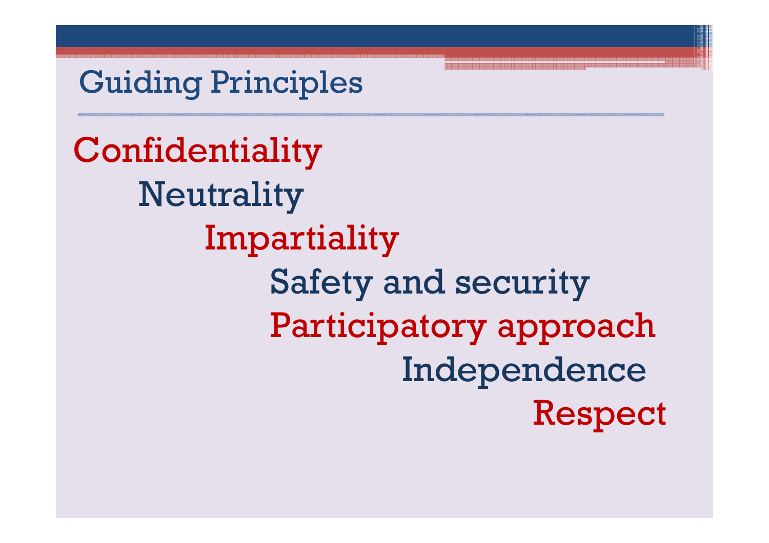#### Guiding Principles

Confidentiality Neutrality Impartiality Safety and security Participatory approach IndependenceRespect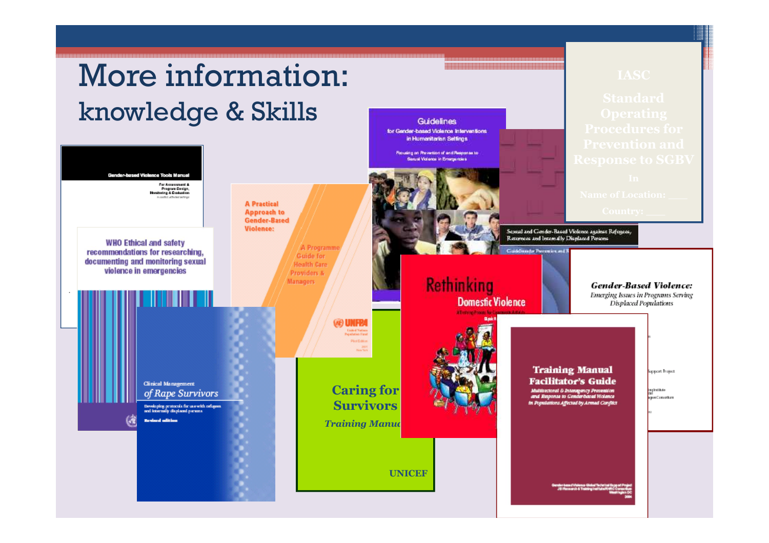